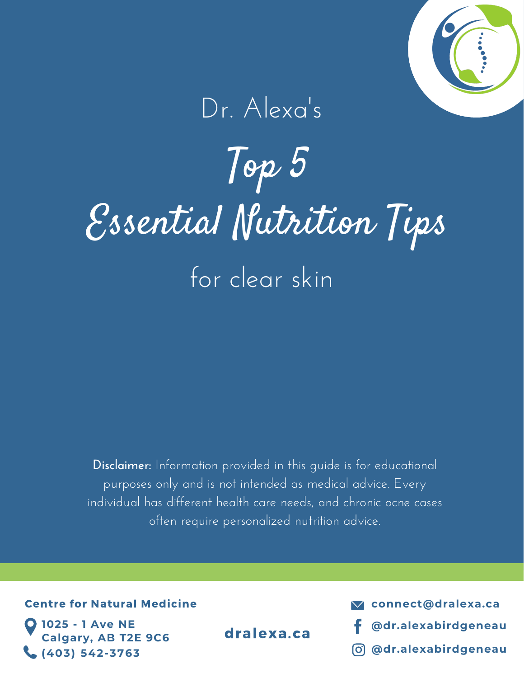

## Dr. Alexa's

# Top 5 Essential Nutrition Tips for clear skin

**Disclaimer:** Information provided in this guide is for educational purposes only and is not intended as medical advice. Every individual has different health care needs, and chronic acne cases often require personalized nutrition advice.

#### Centre for Natural [Medicine](http://www.naturally.ca/)

**1025 - 1 Ave NE Calgary, AB T2E 9C6 (403) 542-3763**

**connect@dralexa.ca**

- dralexa.ca f [@dr.alexabirdgeneau](https://www.facebook.com/dr.alexabirdgeneau/)
	- **[@dr.alexabirdgeneau](https://www.instagram.com/dr.alexabirdgeneau/?hl=en)**